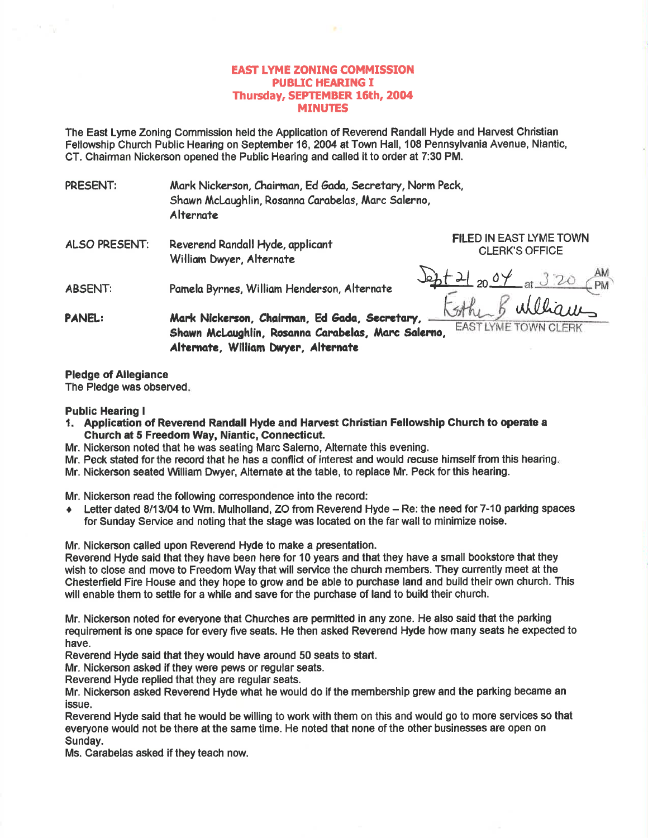## EAST LYME ZONING COMMISSION PUBIIC HEARING I Thursday, SEPTEMBER 16th, 2004 MINUTES

The East Lyme Zoning Commission held the Application of Reverend Randall Hyde and Harvest Christian Fellowship Church Public Hearing on September 16, 2004 at Town Hall, 108 Pennsylvania Avenue, Niantio, CT. Chairman Nickerson opened the Public Hearing and called it to order at 7:30 PM.

- PRESENT: Mark Nickerson, Chairman, Ed Gada, Secretary, Norm Peck, Shawn McLaugh lin, Rosanna Carabe las, Marc Salerno, Alternote
- ALSO PRESENT: Reverend Randall Hyde, applicant William Dwyer, Alternate

CLERK'S OFFICE

ABSENT: Pomelo Byrnes, Williom Henderson, Alternote

 $\frac{5t^{12}}{2004}$  at  $320$  (PM)

FILED IN EAST LYME TOWN

Gthe 5 william - PANEL: Mark Nickerson, Chairman, Ed Gada, Secretary, Shawn McLaughlin, Rosanna Carabelas, Marc Salerno, Alternate, William Dwyer, Alternate

## Pledge of Allegiance

The Pledge was observed

## Public Hearing <sup>I</sup>

- 1. Application of Reverend Randall Hyde and Harvest Christian Fellowship Church to operate a Church at 5 Frcedom Way, Niantic, Connecticut.
- Mr. Nickerson noted that he was seating Marc Salemo, Alternate this evening.
- Mr. Peck stated for the record that he has a conflict of interest and would recuse himself from this hearing
- Mr. Nickerson seated Wlliam Dwyer, Alternate at the table, to replace Mr. Peck forthis hearing.

Mr. Nickerson read the following correspondence into the record:

♦ Letter dated 8/13/04 to Wm. Mulholland, ZO from Reverend Hyde - Re: the need for 7-10 parking spaces for Sunday Service and noting that the stage was located on the far wall to minimize noise.

Mr. Nickenson called upon Reverend Hyde to make a presentation.

Reverend Hyde said that they have been here for 10 years and that they have a small bookstore that they wish to close and move to Freedom Way that will service the church members. They curently meet at the Chesterfield Fire House and they hope to grow and be able to purchase land and build their own church. This will enable them to settle for a while and save for the purchase of land to build their church.

Mr. Nickerson noted for everyone that Churches are permitted in any zone. He also said that the parking requirement is one space for every five seats. He then asked Reverend Hyde how many seats he expected to have.

Reverend Hyde said that they would have around 50 seats to start.

Mr. Nickerson asked if they were pews or regular seats.

Reverend Hyde replied that they are regular seats.

Mr. Nickerson asked Reverend Hyde what he would do if the membership grew and the parking became an issue.

Reverend Hyde said that he would be willing to work with them on this and would go to more services so that everyone would not be there at the same time. He noted that none of the other businesses are open 0n Sunday.

Ms. Carabelas asked if they teach now.